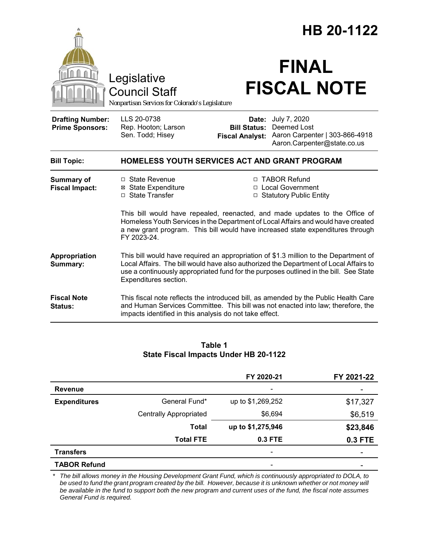|                                                                                        |                                                                                                                                                                                                                                                                                                 | HB 20-1122                         |                                                                                                              |
|----------------------------------------------------------------------------------------|-------------------------------------------------------------------------------------------------------------------------------------------------------------------------------------------------------------------------------------------------------------------------------------------------|------------------------------------|--------------------------------------------------------------------------------------------------------------|
| Legislative<br><b>Council Staff</b><br>Nonpartisan Services for Colorado's Legislature |                                                                                                                                                                                                                                                                                                 | <b>FINAL</b><br><b>FISCAL NOTE</b> |                                                                                                              |
| <b>Drafting Number:</b><br><b>Prime Sponsors:</b>                                      | LLS 20-0738<br>Rep. Hooton; Larson<br>Sen. Todd; Hisey                                                                                                                                                                                                                                          | Date:<br><b>Bill Status:</b>       | July 7, 2020<br>Deemed Lost<br>Fiscal Analyst: Aaron Carpenter   303-866-4918<br>Aaron.Carpenter@state.co.us |
| <b>Bill Topic:</b>                                                                     | <b>HOMELESS YOUTH SERVICES ACT AND GRANT PROGRAM</b>                                                                                                                                                                                                                                            |                                    |                                                                                                              |
| <b>Summary of</b><br><b>Fiscal Impact:</b>                                             | □ State Revenue<br><b>⊠ State Expenditure</b><br>□ State Transfer                                                                                                                                                                                                                               |                                    | □ TABOR Refund<br>□ Local Government<br>□ Statutory Public Entity                                            |
|                                                                                        | This bill would have repealed, reenacted, and made updates to the Office of<br>Homeless Youth Services in the Department of Local Affairs and would have created<br>a new grant program. This bill would have increased state expenditures through<br>FY 2023-24.                               |                                    |                                                                                                              |
| Appropriation<br>Summary:                                                              | This bill would have required an appropriation of \$1.3 million to the Department of<br>Local Affairs. The bill would have also authorized the Department of Local Affairs to<br>use a continuously appropriated fund for the purposes outlined in the bill. See State<br>Expenditures section. |                                    |                                                                                                              |
| <b>Fiscal Note</b><br>Status:                                                          | This fiscal note reflects the introduced bill, as amended by the Public Health Care<br>and Human Services Committee. This bill was not enacted into law; therefore, the<br>impacts identified in this analysis do not take effect.                                                              |                                    |                                                                                                              |

# **Table 1 State Fiscal Impacts Under HB 20-1122**

|                     |                               | FY 2020-21        | FY 2021-22 |
|---------------------|-------------------------------|-------------------|------------|
| <b>Revenue</b>      |                               | -                 |            |
| <b>Expenditures</b> | General Fund*                 | up to \$1,269,252 | \$17,327   |
|                     | <b>Centrally Appropriated</b> | \$6,694           | \$6,519    |
|                     | <b>Total</b>                  | up to \$1,275,946 | \$23,846   |
|                     | <b>Total FTE</b>              | 0.3 FTE           | 0.3 FTE    |
| <b>Transfers</b>    |                               | -                 |            |
| <b>TABOR Refund</b> |                               | -                 |            |

\* The bill allows money in the Housing Development Grant Fund, which is continuously appropriated to DOLA, to *be used to fund the grant program created by the bill. However, because it is unknown whether or not money will be available in the fund to support both the new program and current uses of the fund, the fiscal note assumes General Fund is required.*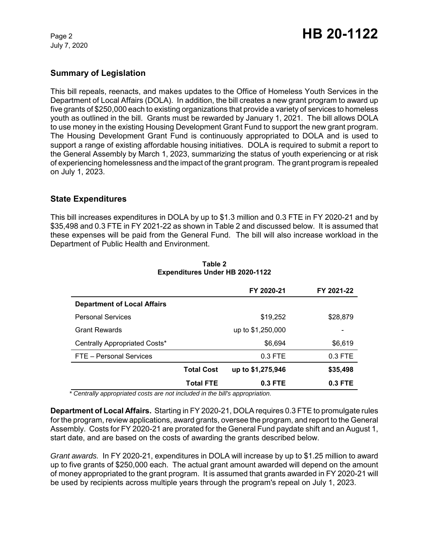July 7, 2020

# **Summary of Legislation**

This bill repeals, reenacts, and makes updates to the Office of Homeless Youth Services in the Department of Local Affairs (DOLA). In addition, the bill creates a new grant program to award up five grants of \$250,000 each to existing organizations that provide a variety of services to homeless youth as outlined in the bill. Grants must be rewarded by January 1, 2021. The bill allows DOLA to use money in the existing Housing Development Grant Fund to support the new grant program. The Housing Development Grant Fund is continuously appropriated to DOLA and is used to support a range of existing affordable housing initiatives. DOLA is required to submit a report to the General Assembly by March 1, 2023, summarizing the status of youth experiencing or at risk of experiencing homelessness and the impact of the grant program. The grant program is repealed on July 1, 2023.

## **State Expenditures**

This bill increases expenditures in DOLA by up to \$1.3 million and 0.3 FTE in FY 2020-21 and by \$35,498 and 0.3 FTE in FY 2021-22 as shown in Table 2 and discussed below. It is assumed that these expenses will be paid from the General Fund. The bill will also increase workload in the Department of Public Health and Environment.

|                                    |                   | FY 2020-21        | FY 2021-22               |
|------------------------------------|-------------------|-------------------|--------------------------|
| <b>Department of Local Affairs</b> |                   |                   |                          |
| <b>Personal Services</b>           |                   | \$19,252          | \$28,879                 |
| <b>Grant Rewards</b>               | up to \$1,250,000 |                   | $\overline{\phantom{a}}$ |
| Centrally Appropriated Costs*      |                   | \$6,694           | \$6,619                  |
| FTE - Personal Services            |                   | $0.3$ FTE         | $0.3$ FTE                |
|                                    | <b>Total Cost</b> | up to \$1,275,946 | \$35,498                 |
|                                    | <b>Total FTE</b>  | $0.3$ FTE         | $0.3$ FTE                |

#### **Table 2 Expenditures Under HB 2020-1122**

*\* Centrally appropriated costs are not included in the bill's appropriation.*

**Department of Local Affairs.** Starting in FY 2020-21, DOLA requires 0.3 FTE to promulgate rules for the program, review applications, award grants, oversee the program, and report to the General Assembly. Costs for FY 2020-21 are prorated for the General Fund paydate shift and an August 1, start date, and are based on the costs of awarding the grants described below.

*Grant awards.*In FY 2020-21, expenditures in DOLA will increase by up to \$1.25 million to award up to five grants of \$250,000 each. The actual grant amount awarded will depend on the amount of money appropriated to the grant program. It is assumed that grants awarded in FY 2020-21 will be used by recipients across multiple years through the program's repeal on July 1, 2023.